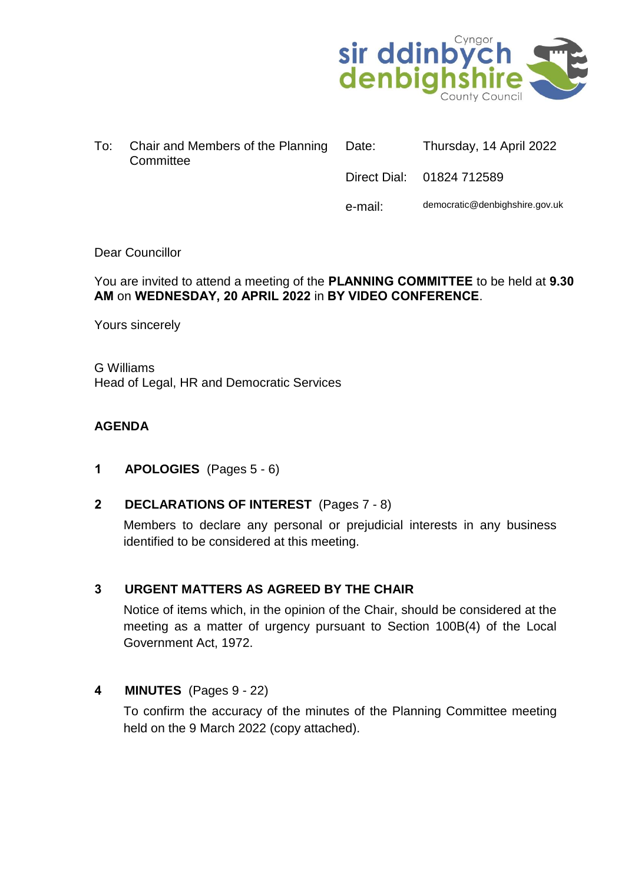

| To: | Chair and Members of the Planning Date:<br>Committee | Thursday, 14 April 2022   |
|-----|------------------------------------------------------|---------------------------|
|     |                                                      | Direct Dial: 01824 712589 |

e-mail: democratic@denbighshire.gov.uk

## Dear Councillor

#### You are invited to attend a meeting of the **PLANNING COMMITTEE** to be held at **9.30 AM** on **WEDNESDAY, 20 APRIL 2022** in **BY VIDEO CONFERENCE**.

Yours sincerely

G Williams Head of Legal, HR and Democratic Services

## **AGENDA**

- **1 APOLOGIES** (Pages 5 6)
- **2 DECLARATIONS OF INTEREST** (Pages 7 8)

Members to declare any personal or prejudicial interests in any business identified to be considered at this meeting.

# **3 URGENT MATTERS AS AGREED BY THE CHAIR**

Notice of items which, in the opinion of the Chair, should be considered at the meeting as a matter of urgency pursuant to Section 100B(4) of the Local Government Act, 1972.

#### **4 MINUTES** (Pages 9 - 22)

To confirm the accuracy of the minutes of the Planning Committee meeting held on the 9 March 2022 (copy attached).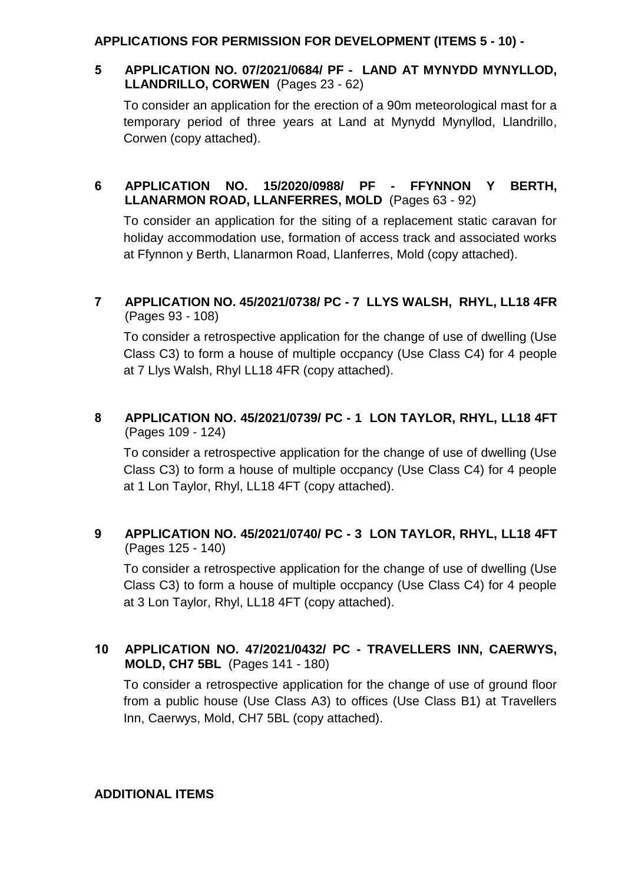## **APPLICATIONS FOR PERMISSION FOR DEVELOPMENT (ITEMS 5 - 10) -**

# **5 APPLICATION NO. 07/2021/0684/ PF - LAND AT MYNYDD MYNYLLOD, LLANDRILLO, CORWEN** (Pages 23 - 62)

To consider an application for the erection of a 90m meteorological mast for a temporary period of three years at Land at Mynydd Mynyllod, Llandrillo, Corwen (copy attached).

# **6 APPLICATION NO. 15/2020/0988/ PF - FFYNNON Y BERTH, LLANARMON ROAD, LLANFERRES, MOLD** (Pages 63 - 92)

To consider an application for the siting of a replacement static caravan for holiday accommodation use, formation of access track and associated works at Ffynnon y Berth, Llanarmon Road, Llanferres, Mold (copy attached).

# **7 APPLICATION NO. 45/2021/0738/ PC - 7 LLYS WALSH, RHYL, LL18 4FR** (Pages 93 - 108)

To consider a retrospective application for the change of use of dwelling (Use Class C3) to form a house of multiple occpancy (Use Class C4) for 4 people at 7 Llys Walsh, Rhyl LL18 4FR (copy attached).

# **8 APPLICATION NO. 45/2021/0739/ PC - 1 LON TAYLOR, RHYL, LL18 4FT** (Pages 109 - 124)

To consider a retrospective application for the change of use of dwelling (Use Class C3) to form a house of multiple occpancy (Use Class C4) for 4 people at 1 Lon Taylor, Rhyl, LL18 4FT (copy attached).

# **9 APPLICATION NO. 45/2021/0740/ PC - 3 LON TAYLOR, RHYL, LL18 4FT** (Pages 125 - 140)

To consider a retrospective application for the change of use of dwelling (Use Class C3) to form a house of multiple occpancy (Use Class C4) for 4 people at 3 Lon Taylor, Rhyl, LL18 4FT (copy attached).

# **10 APPLICATION NO. 47/2021/0432/ PC - TRAVELLERS INN, CAERWYS, MOLD, CH7 5BL** (Pages 141 - 180)

To consider a retrospective application for the change of use of ground floor from a public house (Use Class A3) to offices (Use Class B1) at Travellers Inn, Caerwys, Mold, CH7 5BL (copy attached).

#### **ADDITIONAL ITEMS**